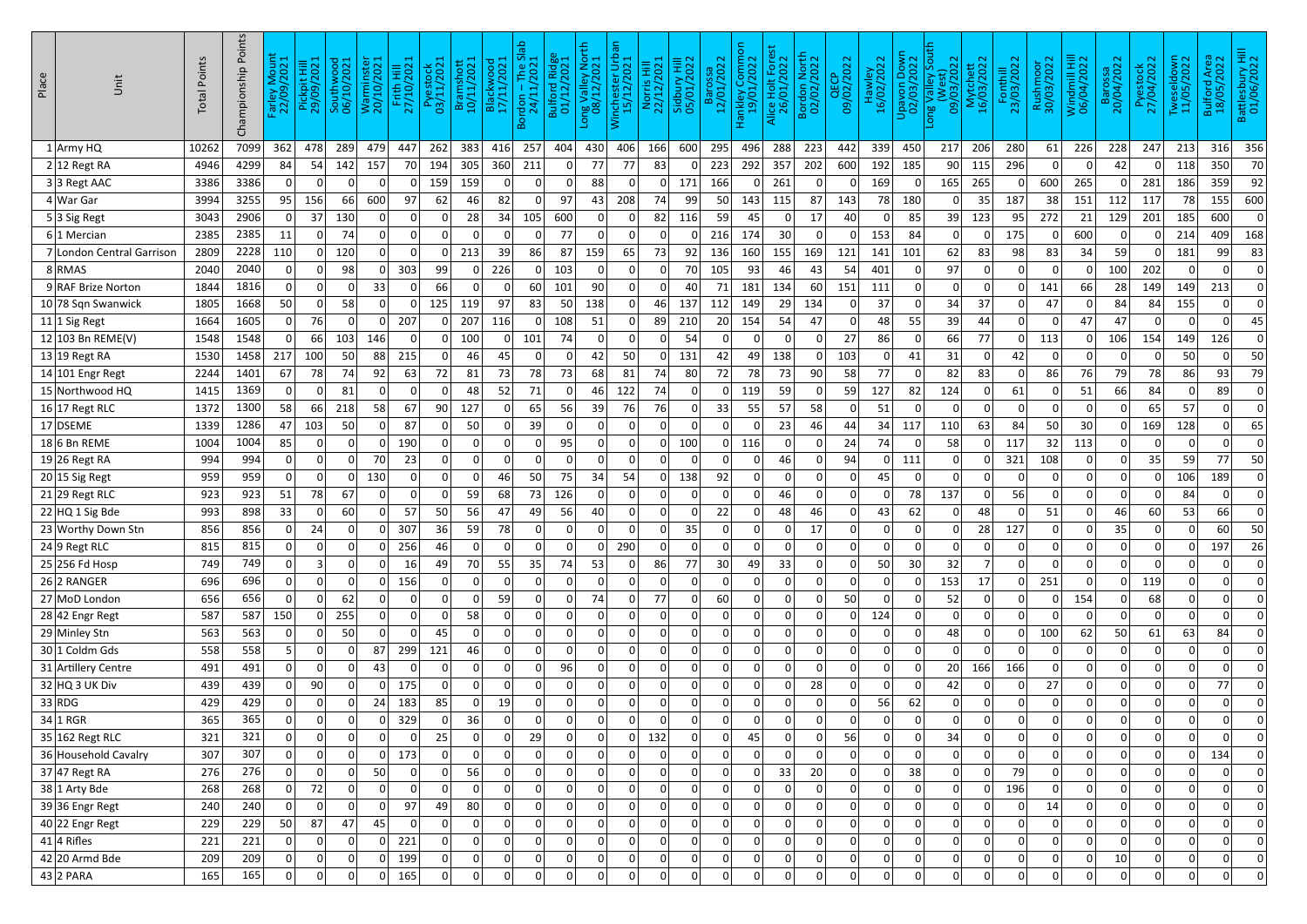| Place | Unit                      | <b>Total Points</b> | Points<br>Championship | $\frac{1}{2}$<br>Farley M<br>22/09/ | t Hill<br>2021<br>Pickpi<br>29/09/ | Southwood<br>06/10/2021 | Warminster<br>20/10/2021 | Frith Hill<br>27/10/2021 | រំ ន<br>Pyesto<br>03/11/20 | Bramshott<br>10/11/2021 | Blackwood<br>17/11/2021 | $Slab$<br>$21$<br>Bordon – The 9<br>24/11/2021 | Ridge<br>202<br>Bulford<br>01/12/ | V<br>North<br>2021<br>I Valley<br>1 Valley<br>08/12/20 | ത<br>욘<br>inchester Urb<br>15/12/2021 | Norris Hill<br>22/12/2021 | 022<br>量<br>$\mathsf{N}$<br>Sidbur<br>05/01/ | 2022<br><b>Baro</b><br>12/01/ | 등<br>־10MM)<br>2022<br>Hankley C<br>19/01/ | Alice Holt Fores<br>26/01/2022 | <b>North</b><br>2022<br>Bordon<br>02/02/ | QECP<br>09/02/2022 | Hawley<br>16/02/2022 | <b>Down</b><br>2022<br>Upavon<br>02/03/ | sout<br>$\overline{22}$<br>$\overline{\mathbf{S}}$<br>т<br>valley<br>Valley<br>පි<br>$\log V$<br>$\overline{90}$ | hett<br>2022<br>Mytch<br>16/03/2 | Fonthill<br>23/03/2022 | Rushmoor<br>30/03/2022 | Windmill Hill<br>06/04/2022 | ssa<br>202<br>Baros<br>20/04/ | 022<br>Pyesto<br>27/04/20 | Idown<br>/2022<br>잇<br>Twesel<br>11/05 <sub>/</sub> | Bulford Area<br>18/05/2022 | 3attlesbury Hill<br>01/06/2022 |
|-------|---------------------------|---------------------|------------------------|-------------------------------------|------------------------------------|-------------------------|--------------------------|--------------------------|----------------------------|-------------------------|-------------------------|------------------------------------------------|-----------------------------------|--------------------------------------------------------|---------------------------------------|---------------------------|----------------------------------------------|-------------------------------|--------------------------------------------|--------------------------------|------------------------------------------|--------------------|----------------------|-----------------------------------------|------------------------------------------------------------------------------------------------------------------|----------------------------------|------------------------|------------------------|-----------------------------|-------------------------------|---------------------------|-----------------------------------------------------|----------------------------|--------------------------------|
|       | $1$ Army HQ               | 10262               | 7099                   | 362                                 | 478                                | 289                     | 479                      | 447                      | 262                        | 383                     | 416                     | 257                                            | 404                               | 430                                                    | 406                                   | 166                       | 600                                          | 295                           | 496                                        | 288                            | 223                                      | 442                | 339                  | 450                                     | 217                                                                                                              | 206                              | 280                    | 61                     | 226                         | 228                           | 247                       | 213                                                 | 316                        | 356                            |
|       | $2 12$ Regt RA            | 4946                | 4299                   | 84                                  | 54                                 | 142                     | 157                      | 70                       | 194                        | 305                     | 360                     | 211                                            | 0                                 | 77                                                     | 77                                    | 83                        | $\Omega$                                     | 223                           | 292                                        | 357                            | 202                                      | 600                | 192                  | 185                                     | 90 <sub>l</sub>                                                                                                  | 115                              | 296                    | 0                      | 0                           | 42                            | 0                         | 118                                                 | 350                        | 70                             |
|       | $3 3$ Regt AAC            | 3386                | 3386                   | 0                                   |                                    |                         | 0                        |                          | 159                        | 159                     |                         |                                                |                                   | 88                                                     |                                       | 0                         | 171                                          | 166                           | 0                                          | 261                            |                                          |                    | 169                  |                                         | 165                                                                                                              | 265                              |                        | 600                    | 265                         | 0                             | 281                       | 186                                                 | 359                        | 92                             |
|       | $4$ War Gar               | 3994                | 3255                   | 95                                  | 156                                | 66                      | 600                      | 97                       | 62                         | 46                      | 82                      |                                                | 97                                | 43                                                     | 208                                   | 74                        | 99                                           | 50                            | 143                                        | 115                            | 87                                       | 143                | 78                   | 180                                     | 0                                                                                                                | 35                               | 187                    | 38                     | 151                         | 112                           | 117                       | 78                                                  | 155                        | 600                            |
|       | $5 3$ Sig Regt            | 3043                | 2906                   | 0                                   | 37                                 | 130                     | 0                        | 0                        | 0                          | 28                      | 34                      | 105                                            | 600                               | 0                                                      | 0                                     | 82                        | 116                                          | 59                            | 45                                         |                                | 17                                       | 40                 |                      | 85                                      | 39                                                                                                               | 123                              | 95                     | 272                    | 21                          | 129                           | 201                       | 185                                                 | 600                        | 0                              |
|       | $6 1$ Mercian             | 2385                | 2385                   | 11                                  |                                    | 74                      |                          | 0                        | 0                          | O                       |                         |                                                | 77                                |                                                        | 0                                     | 0 I                       | -0                                           | 216                           | 174                                        | 30                             |                                          | 0                  | 153                  | 84                                      | 0                                                                                                                |                                  | 175                    | 0                      | 600                         | 0                             | 0                         | 214                                                 | 409                        | 168                            |
|       | 7 London Central Garrison | 2809                | 2228                   | 110                                 |                                    | 120                     | 0                        | $\Omega$                 | 0                          | 213                     | 39                      | 86                                             | 87                                | 159                                                    | 65                                    | 73                        | 92                                           | 136                           | 160                                        | 155                            | 169                                      | 121                | 141                  | 101                                     | 62                                                                                                               | 83                               | 98                     | 83                     | 34                          | 59                            | 0                         | 181                                                 | 99                         | 83                             |
|       | 8 RMAS                    | 2040                | 2040                   | 0                                   |                                    | 98                      | 0                        | 303                      | 99                         |                         | 226                     |                                                | 103                               | 0                                                      | 0                                     | 0                         | 70                                           | 105                           | 93                                         | 46                             | 43                                       | 54                 | 401                  | 0                                       | 97                                                                                                               |                                  |                        | 0                      | 0                           | 100                           | 202                       | 0                                                   | 0                          | 0                              |
|       | 9 RAF Brize Norton        | 1844                | 1816                   | 0 I                                 |                                    | 0                       | 33                       | $\Omega$                 | 66                         |                         |                         | 60                                             | 101                               | 90                                                     | 0                                     | 0                         | 40                                           | 71                            | 181                                        | 134                            | 60                                       | 151                | 111                  |                                         | 0                                                                                                                |                                  |                        | 141                    | 66                          | 28                            | 149                       | 149                                                 | 213                        |                                |
|       | 10 78 Sqn Swanwick        | 1805                | 1668                   | 50                                  | 0                                  | 58                      | 0                        | $\Omega$                 | 125                        | 119                     | 97                      | 83                                             | 50                                | 138                                                    | 0                                     | 46                        | 137                                          | 112                           | 149                                        | 29                             | 134                                      | 0                  | 37                   | $\Omega$                                | 34                                                                                                               | 37                               | 0                      | 47                     | 0                           | 84                            | 84                        | 155                                                 | 0                          | 0                              |
|       | $11$ 1 Sig Regt           | 1664                | 1605                   | 0                                   | 76                                 | 0                       | 0                        | 207                      | 0                          | 207                     | 116                     |                                                | 108                               | 51                                                     | 0                                     | 89                        | 210                                          | 20                            | 154                                        | 54                             | 47                                       | 0                  | 48                   | 55                                      | 39                                                                                                               | 44                               |                        | 0                      | 47                          | 47                            | 0                         | 0                                                   | 0                          | 45                             |
|       | 12 103 Bn REME(V)         | 1548                | 1548                   | 0                                   | 66                                 | 103                     | 146                      | $\Omega$                 | 0                          | 100                     |                         | 101                                            | 74                                | 0                                                      | 0                                     | $\Omega$                  | 54                                           | 0                             | 0                                          |                                |                                          | 27                 | 86                   | -0                                      | 66                                                                                                               | 77                               |                        | 113                    | .O                          | 106                           | 154                       | 149                                                 | 126                        | 0                              |
|       | $13 19$ Regt RA           | 1530                | 1458                   | 217                                 | 100                                | 50                      | 88                       | 215                      | 0                          | 46                      | 45                      | -0                                             | $\Omega$                          | 42                                                     | 50                                    | $\Omega$                  | 131                                          | 42                            | 49                                         | 138                            |                                          | 103                |                      | 41                                      | 31                                                                                                               | <sup>0</sup>                     | 42                     | .O                     | 0                           | $\Omega$                      | 0                         | 50                                                  | 0                          | 50                             |
|       | $14 101$ Engr Regt        | 2244                | 1401                   | 67                                  | 78                                 | 74                      | 92                       | 63                       | 72                         | 81                      | 73                      | 78                                             | 73                                | 68                                                     | 81                                    | 74                        | 80                                           | 72                            | 78                                         | 73                             | 90                                       | 58                 | 77                   |                                         | 82                                                                                                               | 83                               |                        | 86                     | 76                          | 79                            | 78                        | 86                                                  | 93                         | 79                             |
|       | 15 Northwood HQ           | 1415                | 1369                   | 0                                   | 0                                  | 81                      | 0                        | 0                        | 0                          | 48                      | 52                      | 71                                             | 0                                 | 46                                                     | 122                                   | 74                        | 0                                            | 0                             | 119                                        | 59                             |                                          | 59                 | 127                  | 82                                      | 124                                                                                                              |                                  | 61                     | 0                      | 51                          | 66                            | 84                        | 0                                                   | 89                         | 0                              |
|       | $16 17$ Regt RLC          | 1372                | 1300                   | 58                                  | 66                                 | 218                     | 58                       | 67                       | 90                         | 127                     |                         | 65                                             | 56                                | 39                                                     | 76                                    | 76                        | 0                                            | 33                            | 55                                         | 57                             | 58                                       | 0                  | 51                   |                                         | $\mathbf{0}$                                                                                                     |                                  |                        | 0                      | 0                           | 0                             | 65                        | 57                                                  | 0                          | 0                              |
|       | $17$ DSEME                | 1339                | 1286                   | 47                                  | 103                                | 50                      | 0                        | 87                       | 0                          | 50                      |                         | 39                                             | $\Omega$                          | 0                                                      | 0                                     | $\Omega$                  | $\Omega$                                     | 0                             | 0                                          | 23                             | 46                                       | 44                 | 34                   | 117                                     | 110                                                                                                              | 63                               | 84                     | 50                     | 30                          | 0                             | 169                       | 128                                                 | 0                          | 65                             |
|       | $18 6$ Bn REME            | 1004                | 1004                   | 85                                  |                                    | $\Omega$                | 0                        | 190                      | 0                          | 0                       |                         |                                                | 95                                | 0                                                      | $\Omega$                              | 0                         | 100                                          | 0 <sup>1</sup>                | 116                                        | 0                              |                                          | 24                 | 74                   | -0                                      | 58                                                                                                               |                                  | 117                    | 32                     | 113                         | 0                             |                           | 0                                                   | 0                          | 0                              |
|       | $19 26$ Regt RA           | 994                 | 994                    | 0                                   | 0                                  |                         | 70                       | 23                       | 0                          |                         |                         |                                                | 0                                 | 0                                                      | 0                                     | 0                         | $\Omega$                                     | 0                             | 0                                          | 46                             |                                          | 94                 |                      | 111                                     | 0                                                                                                                |                                  | 321                    | 108                    | 0                           | $\overline{0}$                | 35                        | 59                                                  | 77                         | 50                             |
|       | $20 15$ Sig Regt          | 959                 | 959                    | 0                                   | 0                                  |                         | 130                      | 0                        | 0                          |                         | 46                      | 50                                             | 75                                | 34                                                     | 54                                    | 0                         | 138                                          | 92                            | 0                                          |                                |                                          | $\Omega$           | 45                   | $\Omega$                                | 0                                                                                                                |                                  |                        | 0                      | 0                           | $\overline{0}$                | 0                         | 106                                                 | 189                        | 0                              |
|       | $21$  29 Regt RLC         | 923                 | 923                    | 51                                  | 78                                 | 67                      | 0                        | 0                        | 0                          | 59                      | 68                      | 73                                             | 126                               | 0                                                      | 0                                     | 0                         | $\mathbf{0}$                                 | 0                             | 01                                         | 46                             | 0                                        | 0                  |                      | 78                                      | 137                                                                                                              | <sup>0</sup>                     | 56                     | .O                     | 0                           | $\overline{0}$                | 0                         | 84                                                  | 0                          | 0                              |
|       | $22$ HQ 1 Sig Bde         | 993                 | 898                    | 33                                  |                                    | 60                      | 0                        | 57                       | 50                         | 56                      | 47                      | 49                                             | 56                                | 40                                                     |                                       | 0                         |                                              | 22                            |                                            | 48                             | 46                                       |                    | 43                   | 62                                      | 0                                                                                                                | 48                               |                        | 51                     |                             | 46                            | 60                        | 53                                                  | 66                         |                                |
|       | 23 Worthy Down Stn        | 856                 | 856                    | 0                                   | 24                                 | 0                       | 0                        | 307                      | 36                         | 59                      | 78                      | 0                                              | 0                                 | 0                                                      | 0                                     | 0                         | 35                                           | 0                             | 0                                          | 0                              | 17                                       | 0                  | 0                    | 0                                       | 0                                                                                                                | 28                               | 127                    | 0                      | 0                           | 35                            | 0                         | 0                                                   | 60                         | 50                             |
|       | $24$ 9 Regt RLC           | 815                 | 815                    | 0                                   | 0                                  | 0                       | 0                        | 256                      | 46                         | 0                       | $\Omega$                | $\Omega$                                       | 0                                 | 0                                                      | 290                                   | 0                         | 0                                            | 0                             | 0                                          | 0                              | 0                                        | 0                  | $\overline{0}$       | 0                                       | 0                                                                                                                | 0                                | 0                      | 0                      | 0                           | 0                             | 0                         | 0                                                   | 197                        | 26                             |
|       | $25 256$ Fd Hosp          | 749                 | 749                    | 0                                   | 3                                  | 0                       | 0                        | 16                       | 49                         | 70                      | 55                      | 35                                             | 74                                | 53                                                     | 0                                     | 86                        | 77                                           | 30                            | 49                                         | 33                             |                                          | $\Omega$           | 50                   | 30                                      | 32                                                                                                               |                                  |                        | 0                      | 0                           | 0                             |                           | 0                                                   | 0                          | 0                              |
|       | 26 2 RANGER               | 696                 | 696                    | 0                                   | 0                                  | $\mathbf{0}$            | 0                        | 156                      | 0                          | 0                       | $\overline{0}$          | $\Omega$                                       | 0                                 | 0                                                      | 0                                     | 0                         | $\overline{0}$                               | 0                             | 0                                          | 0                              | 0                                        | 0                  | 0                    | $\Omega$                                | 153                                                                                                              | 17                               | 0                      | 251                    | 0                           | 0                             | 119                       | 0                                                   | 0                          | 0                              |
|       | 27 MoD London             | 656                 | 656                    | 0                                   | 0                                  | 62                      | 0                        | 0                        | 0                          | $\Omega$                | 59                      | - O I                                          | 0                                 | 74                                                     | 0                                     | 77                        | 0                                            | 60                            | 0                                          | 0                              |                                          | 50                 | $\mathbf{0}$         | 0                                       | 52                                                                                                               | $\Omega$                         | 0                      | 0                      | 154                         | 0                             | 68                        | 0                                                   | 0                          | 0                              |
|       | $28 42$ Engr Regt         | 587                 | 587                    | 150                                 |                                    | 255                     | 0                        | 0                        | 0                          | 58                      | $\overline{0}$          | $\Omega$                                       | 0                                 |                                                        | 0                                     | 0                         | $\overline{0}$                               | 0                             | 0 <sup>1</sup>                             | $\Omega$                       |                                          | $\Omega$           | 124                  | $\Omega$                                | $\mathbf{0}$                                                                                                     | <sup>0</sup>                     |                        | 0                      | 0                           | 0                             | 0                         | 0                                                   | 0                          | 0                              |
|       | 29 Minley Stn             | 563                 | 563                    | 0                                   |                                    | 50                      | 0                        | 0                        | 45                         | 0                       | 0                       | $\mathbf 0$                                    | 0                                 | 0                                                      | 0                                     | 0                         | 0                                            | 0                             | 0                                          | 0                              | $\mathbf 0$                              | 0                  | $\overline{0}$       | 0                                       | 48                                                                                                               | $\Omega$                         | 0                      | 100                    | 62                          | 50                            | 61                        | 63                                                  | 84                         | 0                              |
|       | 30 1 Coldm Gds            | 558                 | 558                    | 5                                   |                                    |                         | 87                       | 299                      | 121                        | 46                      | 0                       |                                                | 0                                 | $\Omega$                                               | 0                                     | 0                         | $\overline{0}$                               | 0                             | 0                                          | 0                              |                                          | 0                  | $\overline{0}$       | $\Omega$                                | 0                                                                                                                |                                  |                        | 0                      | 0                           | 0                             | 0                         | 0                                                   | 0                          | 0                              |
|       | 31 Artillery Centre       | 491                 | 491                    | 0                                   | 0                                  | 0                       | 43                       | 0                        | 0                          | 0                       | $\Omega$                | $\Omega$                                       | 96                                | 0                                                      | 0                                     | 0                         | 0                                            | 0                             | 0                                          | $\Omega$                       | 0                                        | 0                  | $\overline{0}$       | $\Omega$                                | 20 <sup>°</sup>                                                                                                  | 166                              | 166                    | 0                      | 0                           | 0                             | 0                         | 0                                                   | 0                          | 0                              |
|       | $32$ HQ 3 UK Div          | 439                 | 439                    | 0                                   | 90                                 | 0                       | 0                        | 175                      | 0                          | 0                       | $\overline{0}$          | 0                                              | 0                                 | 0                                                      | 0                                     | 0                         | 0                                            | 0                             | 0                                          | 0                              | 28                                       | 0                  | 0                    | 0                                       | 42                                                                                                               | $\Omega$                         | $\overline{0}$         | 27                     | 0                           | 0                             | 0                         | 0                                                   | 77                         | 0                              |
|       | 33 RDG                    | 429                 | 429                    | 0                                   |                                    |                         | 24                       | 183                      | 85                         | $\Omega$                | 19                      | $\Omega$                                       | 0                                 |                                                        | 0                                     | 0                         | 0                                            | 0                             | 0                                          | $\Omega$                       |                                          | $\Omega$           | 56                   | 62                                      | $\mathsf{O}$                                                                                                     |                                  |                        | 0                      | 0                           | 0                             | 0                         | 0                                                   | 0                          | 0                              |
|       | $34 1$ RGR                | 365                 | 365                    | 0                                   | 0                                  | 0                       | 0                        | 329                      | 0                          | 36                      | 0                       | 0                                              | 0                                 | 0                                                      | 0                                     | 0                         | 0                                            | 0                             | 0                                          | 0                              |                                          | 0                  | 0                    | $\mathbf 0$                             | 0                                                                                                                | $\Omega$                         | $\Omega$               | 0                      | 0                           | 0                             | 0                         | 0                                                   | 0                          | 0                              |
|       | $35 162$ Regt RLC         | 321                 | 321                    | 0                                   | 0                                  | 0                       | 0                        | 0                        | 25                         | 0                       |                         | 29                                             | 0                                 | 0                                                      | 0                                     | 132                       | 0                                            | 0                             | 45                                         | 0                              | 0                                        | 56                 | $\mathbf{0}$         | 0                                       | 34                                                                                                               | 0                                | 0                      | 0                      | 0                           | 0                             | 0                         | 0                                                   | 0                          | 0                              |
|       | 36 Household Cavalry      | 307                 | 307                    | 0                                   |                                    | 0                       | 0                        | 173                      | 0                          | $\Omega$                | $\Omega$                | $\Omega$                                       | 0                                 | $\Omega$                                               | 0                                     | 0                         | $\Omega$                                     | 0                             | 0 <sup>1</sup>                             |                                |                                          | $\Omega$           | $\Omega$             | $\Omega$                                | 0                                                                                                                |                                  |                        | 0                      | 0                           | 0                             | 0                         | 0                                                   | 134                        | 0                              |
|       | $37$ 47 Regt RA           | 276                 | 276                    | 0                                   | $\mathbf 0$                        | 0                       | 50                       | 0                        | 0                          | 56                      | 0                       | $\Omega$                                       | 0                                 | 0                                                      | 0                                     | 0                         | $\overline{0}$                               | 0                             | 0                                          | 33                             | 20                                       | 0                  | $\overline{0}$       | 38                                      | 0                                                                                                                | <sup>n</sup>                     | 79                     | 0                      | 0                           | 0                             | 0                         | 0                                                   | $\mathbf 0$                | 0                              |
|       | 38 1 Arty Bde             | 268                 | 268                    | 0                                   | 72                                 |                         | 0                        | 0                        | 0                          | 0                       |                         | 0                                              | 0                                 | 0                                                      | 0                                     | 0                         | 0                                            | 0                             | 0                                          | 0                              | 0                                        | 0                  | $\overline{0}$       | $\mathbf 0$                             | 0                                                                                                                |                                  | 196                    | 0                      | 0                           | 0                             | 0                         | 0                                                   | 0                          | 0                              |
|       | $39$ 36 Engr Regt         | 240                 | 240                    | 0                                   |                                    | 0                       | 0                        | 97                       | 49                         | 80                      | $\Omega$                | $\Omega$                                       | 0                                 | 0                                                      | 0                                     | 0                         | $\Omega$                                     | 0                             | 0 <sup>1</sup>                             | $\Omega$                       |                                          | $\Omega$           | $\overline{0}$       | $\Omega$                                | 0                                                                                                                | <sup>n</sup>                     |                        | 14                     | 0                           | 0                             | 0                         | 0                                                   | 0                          | 0                              |
|       | $40$  22 Engr Regt        | 229                 | 229                    | 50                                  | 87                                 | 47                      | 45                       | 0                        | 0                          | 0                       | 0                       | 0                                              | 0                                 | 0                                                      | 0                                     | 0                         | 0                                            | 0                             | 0                                          | 0                              | $\Omega$                                 | 0                  | 0                    | 0                                       | $\overline{0}$                                                                                                   | $\Omega$                         | 0                      | 0                      | 0                           | 0                             | 0                         | 0                                                   | 0                          | 0                              |
|       | $41$ 4 Rifles             | 221                 | 221                    | 0                                   |                                    | 0                       | 0                        | 221                      | 0                          | 0                       | $\overline{0}$          | $\Omega$                                       | 0                                 | 0                                                      | 0                                     | 0                         | $\overline{0}$                               | 0                             | 0                                          | 0                              |                                          | 0                  | $\overline{0}$       | $\Omega$                                | 0                                                                                                                | <sup>0</sup>                     |                        | 0                      | 0                           | $\overline{0}$                | 0                         | 0                                                   | 0                          | 0                              |
|       | $42$  20 Armd Bde         | 209                 | 209                    | 0                                   | 0                                  | 0                       | 0                        | 199                      | 0                          | 0                       | $\overline{0}$          | 0                                              | 0                                 | 0                                                      | 0                                     | 0                         | 0                                            | 0                             | 0                                          | 0                              | 0                                        | 0                  | $\overline{0}$       | 0                                       | $\mathsf{O}$                                                                                                     | $\Omega$                         | $\Omega$               | 0                      | 0                           | 10                            | 0                         | 0                                                   | 0                          | 0                              |
|       | $43$ 2 PARA               | 165                 | 165                    | 0                                   | 0                                  | 0                       | 0                        | 165                      | 0                          | 0                       | 0                       | 0                                              | 0                                 | 0                                                      | 0                                     | 0                         | $\overline{0}$                               | 0                             | 0                                          | 0                              | $\mathbf 0$                              | 0                  | 0                    | 0                                       | 0                                                                                                                | $\Omega$                         | 0                      | 0                      | 0                           | 0                             | 0                         | 0                                                   | 0                          | $\pmb{0}$                      |